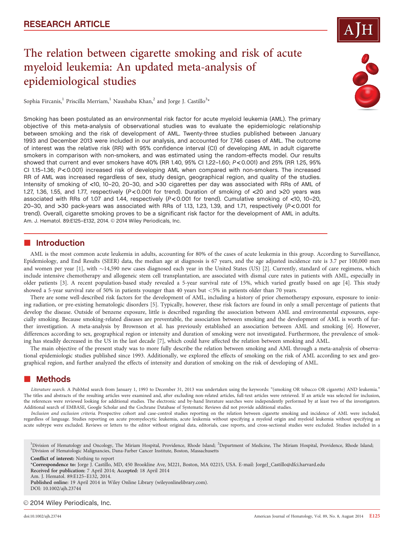# The relation between cigarette smoking and risk of acute myeloid leukemia: An updated meta-analysis of epidemiological studies

Sophia Fircanis, $^{\rm l}$  Priscilla Merriam, $^{\rm l}$  Naushaba Khan, $^{\rm 2}$  and Jorge J. Castillo $^{\rm 3*}$ 

Smoking has been postulated as an environmental risk factor for acute myeloid leukemia (AML). The primary objective of this meta-analysis of observational studies was to evaluate the epidemiologic relationship between smoking and the risk of development of AML. Twenty-three studies published between January 1993 and December 2013 were included in our analysis, and accounted for 7,746 cases of AML. The outcome of interest was the relative risk (RR) with 95% confidence interval (CI) of developing AML in adult cigarette smokers in comparison with non-smokers, and was estimated using the random-effects model. Our results showed that current and ever smokers have 40% (RR 1.40, 95% CI 1.22–1.60; P < 0.001) and 25% (RR 1.25, 95% CI 1.15–1.36; P < 0.001) increased risk of developing AML when compared with non-smokers. The increased RR of AML was increased regardless of sex, study design, geographical region, and quality of the studies. Intensity of smoking of <10, 10–20, 20–30, and >30 cigarettes per day was associated with RRs of AML of 1.27, 1.36, 1.55, and 1.77, respectively ( $P < 0.001$  for trend). Duration of smoking of  $<$ 20 and  $>$ 20 years was associated with RRs of 1.07 and 1.44, respectively  $(P < 0.001$  for trend). Cumulative smoking of  $< 10$ , 10-20, 20–30, and >30 pack-years was associated with RRs of 1.13, 1.23, 1.39, and 1.71, respectively (P < 0.001 for trend). Overall, cigarette smoking proves to be a significant risk factor for the development of AML in adults. Am. J. Hematol. 89:E125-E132, 2014. © 2014 Wiley Periodicals, Inc.

### **n** Introduction

AML is the most common acute leukemia in adults, accounting for 80% of the cases of acute leukemia in this group. According to Surveillance, Epidemiology, and End Results (SEER) data, the median age at diagnosis is 67 years, and the age adjusted incidence rate is 3.7 per 100,000 men and women per year [1], with ~14,590 new cases diagnosed each year in the United States (US) [2]. Currently, standard of care regimens, which include intensive chemotherapy and allogeneic stem cell transplantation, are associated with dismal cure rates in patients with AML, especially in older patients [3]. A recent population-based study revealed a 5-year survival rate of 15%, which varied greatly based on age [4]. This study showed a 5-year survival rate of 50% in patients younger than 40 years but <5% in patients older than 70 years.

There are some well-described risk factors for the development of AML, including a history of prior chemotherapy exposure, exposure to ionizing radiation, or pre-existing hematologic disorders [5]. Typically, however, these risk factors are found in only a small percentage of patients that develop the disease. Outside of benzene exposure, little is described regarding the association between AML and environmental exposures, especially smoking. Because smoking-related diseases are preventable, the association between smoking and the development of AML is worth of further investigation. A meta-analysis by Brownson et al. has previously established an association between AML and smoking [6]. However, differences according to sex, geographical region or intensity and duration of smoking were not investigated. Furthermore, the prevalence of smoking has steadily decreased in the US in the last decade [7], which could have affected the relation between smoking and AML.

The main objective of the present study was to more fully describe the relation between smoking and AML through a meta-analysis of observational epidemiologic studies published since 1993. Additionally, we explored the effects of smoking on the risk of AML according to sex and geographical region, and further analyzed the effects of intensity and duration of smoking on the risk of developing of AML.

## **E** Methods

Literature search. A PubMed search from January 1, 1993 to December 31, 2013 was undertaken using the keywords: "(smoking OR tobacco OR cigarette) AND leukemia." The titles and abstracts of the resulting articles were examined and, after excluding non-related articles, full-text articles were retrieved. If an article was selected for inclusion, the references were reviewed looking for additional studies. The electronic and by-hand literature searches were independently performed by at least two of the investigators. Additional search of EMBASE, Google Scholar and the Cochrane Database of Systematic Reviews did not provide additional studies.

Inclusion and exclusion criteria. Prospective cohort and case-control studies reporting on the relation between cigarette smoking and incidence of AML were included, regardless of language. Studies reporting on acute promyelocytic leukemia, acute leukemia without specifying a myeloid origin and myeloid leukemia without specifying an acute subtype were excluded. Reviews or letters to the editor without original data, editorials, case reports, and cross-sectional studies were excluded. Studies included in a

<sup>1</sup>Division of Hematology and Oncology, The Miriam Hospital, Providence, Rhode Island; <sup>2</sup>Department of Medicine, The Miriam Hospital, Providence, Rhode Island;<br><sup>3</sup>Division of Hematologic Malignancies, Dana Farber Cancer I Division of Hematologic Malignancies, Dana-Farber Cancer Institute, Boston, Massachusetts

Conflict of interest: Nothing to report

\*Correspondence to: Jorge J. Castillo, MD, 450 Brookline Ave, M221, Boston, MA 02215, USA. E-mail: JorgeJ\_Castillo@dfci.harvard.edu Received for publication: 7 April 2014; Accepted: 18 April 2014 Am. J. Hematol. 89:E125–E132, 2014.

Published online: 19 April 2014 in Wiley Online Library (wileyonlinelibrary.com). DOI: 10.1002/ajh.23744

#### © 2014 Wiley Periodicals, Inc.



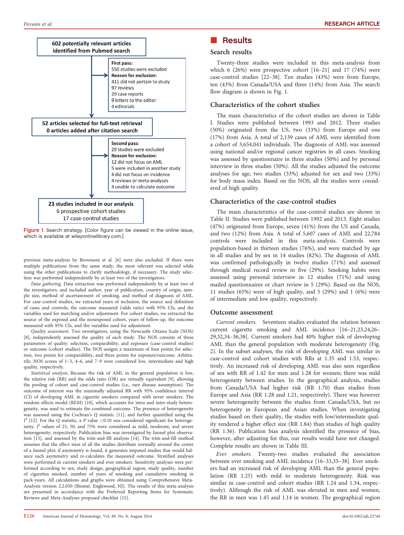

Figure 1. Search strategy. [Color figure can be viewed in the online issue, which is available at [wileyonlinelibrary.com](http://wileyonlinelibrary.com).]

previous meta-analysis by Brownson et al. [6] were also excluded. If there were multiple publications from the same study, the most relevant was selected while using the other publications to clarify methodology, if necessary. The study selection was performed independently by at least two of the investigators.

Data gathering. Data extraction was performed independently by at least two of the investigators, and included author, year of publication, country of origin, sample size, method of ascertainment of smoking, and method of diagnosis of AML. For case-control studies, we extracted years of inclusion, the source and definition of cases and controls, the outcome measured (odds ratio) with 95% CIs, and the variables used for matching and/or adjustment. For cohort studies, we extracted the source of the exposed and the nonexposed cohort, years of follow-up, the outcome measured with 95% CIs, and the variables used for adjustment.

Quality assessment. Two investigators, using the Newcastle Ottawa Scale (NOS) [8], independently assessed the quality of each study. The NOS consists of three parameters of quality: selection, comparability, and exposure (case-control studies) or outcome (cohort studies). The NOS assigns a maximum of four points for selection, two points for comparability, and three points for exposure/outcome. Arbitrarily, NOS scores of 1–3, 4–6, and 7–9 were considered low, intermediate and high quality, respectively.

Statistical analysis. Because the risk of AML in the general population is low, the relative risk (RR) and the odds ratio (OR) are virtually equivalent [9], allowing the pooling of cohort and case-control studies (i.e., rare disease assumption). The outcome of interest was the maximally adjusted RR with 95% confidence interval (CI) of developing AML in cigarette smokers compared with never smokers. The random effects model (REM) [10], which accounts for intra and inter-study heterogeneity, was used to estimate the combined outcome. The presence of heterogeneity was assessed using the Cochran's Q statistic [11], and further quantified using the  $I^2$  [12]. For the Q statistic, a P value <0.10 was considered significant for heterogeneity.  $I^2$  values of 25, 50, and 75% were considered as mild, moderate, and severe heterogeneity, respectively. Publication bias was investigated by funnel plot observation [13], and assessed by the trim-and-fill analysis [14]. The trim-and-fill method assumes that the effect sizes of all the studies distribute normally around the center of a funnel plot; if asymmetry is found, it generates imputed studies that would balance such asymmetry and re-calculates the measured outcome. Stratified analyses were performed in current smokers and ever smokers. Sensitivity analyses were performed according to sex, study design, geographical region, study quality, number of cigarettes smoked, number of years of smoking and cumulative smoking in pack-years. All calculations and graphs were obtained using Comprehensive Meta-Analysis version 2.2.050 (Biostat, Englewood, NJ). The results of this meta-analysis are presented in accordance with the Preferred Reporting Items for Systematic Reviews and Meta-Analyses proposed checklist [15].

### Search results

Twenty-three studies were included in this meta-analysis from which 6 (26%) were prospective cohort [16–21] and 17 (74%) were case-control studies [22–38]. Ten studies (43%) were from Europe, ten (43%) from Canada/USA and three (14%) from Asia. The search flow diagram is shown in Fig. 1.

#### Characteristics of the cohort studies

The main characteristics of the cohort studies are shown in Table I. Studies were published between 1993 and 2012. Three studies (50%) originated from the US, two (33%) from Europe and one (17%) from Asia. A total of 2,139 cases of AML were identified from a cohort of 3,654,041 individuals. The diagnosis of AML was assessed using national and/or regional cancer registries in all cases. Smoking was assessed by questionnaire in three studies (50%) and by personal interview in three studies (50%). All the studies adjusted the outcome analyses for age, two studies (33%) adjusted for sex and two (33%) for body mass index. Based on the NOS, all the studies were considered of high quality.

#### Characteristics of the case-control studies

The main characteristics of the case-control studies are shown in Table II. Studies were published between 1992 and 2013. Eight studies (47%) originated from Europe, seven (41%) from the US and Canada, and two (12%) from Asia. A total of 5,607 cases of AML and 22,784 controls were included in this meta-analysis. Controls were population-based in thirteen studies (76%), and were matched by age in all studies and by sex in 14 studies (82%). The diagnosis of AML was confirmed pathologically in twelve studies (71%) and assessed through medical record review in five (29%). Smoking habits were assessed using personal interview in 12 studies (71%) and using mailed questionnaires or chart review in 5 (29%). Based on the NOS, 11 studies (65%) were of high quality, and 5 (29%) and 1 (6%) were of intermediate and low quality, respectively.

#### Outcome assessment

Current smokers. Seventeen studies evaluated the relation between current cigarette smoking and AML incidence [16–21,23,24,26– 29,32,34–36,38]. Current smokers had 40% higher risk of developing AML than the general population with moderate heterogeneity (Fig. 2). In the subset analyses, the risk of developing AML was similar in case-control and cohort studies with RRs at 1.35 and 1.53, respectively. An increased risk of developing AML was also seen regardless of sex with RR of 1.42 for men and 1.28 for women; there was mild heterogeneity between studies. In the geographical analysis, studies from Canada/USA had higher risk (RR 1.70) than studies from Europe and Asia (RR 1.28 and 1.21, respectively). There was however severe heterogeneity between the studies from Canada/USA, but no heterogeneity in European and Asian studies. When investigating studies based on their quality, the studies with low/intermediate quality rendered a higher effect size (RR 1.84) than studies of high quality (RR 1.36). Publication bias analysis identified the presence of bias, however, after adjusting for this, our results would have not changed. Complete results are shown in Table III.

Ever smokers. Twenty-two studies evaluated the association between ever smoking and AML incidence [16–33,35–38]. Ever smokers had an increased risk of developing AML than the general population (RR 1.25) with mild to moderate heterogeneity. Risk was similar in case-control and cohort studies (RR 1.24 and 1.34, respectively). Although the risk of AML was elevated in men and women, the RR in men was 1.45 and 1.14 in women. The geographical region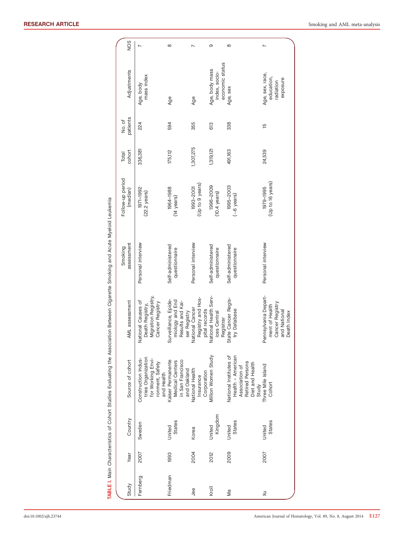|              |      |                   |                                                                                                     |                                                                                          | <b>TABLE I.</b> Main Characteristics of Cohort Studies Evaluating the Association Between Cigarette Smoking and Acute Myeloid Leukemia |                                     |                 |                    |                                                        |          |
|--------------|------|-------------------|-----------------------------------------------------------------------------------------------------|------------------------------------------------------------------------------------------|----------------------------------------------------------------------------------------------------------------------------------------|-------------------------------------|-----------------|--------------------|--------------------------------------------------------|----------|
| Study        | Year | Country           | Source of cohort                                                                                    | AML assessment                                                                           | assessment<br>Smoking                                                                                                                  | Follow-up period<br>(median)        | cohort<br>Total | patients<br>No. of | Adjustments                                            | SON      |
| Fernberg     | 2007 | Sweden            | tries Organization<br>for Working Envi-<br>Construction Indus-<br>ronment, Safety                   | Death Registry,<br>Migration Registry,<br>Cancer Registry<br>National Causes of          | Personal interview                                                                                                                     | 1971-1992<br>$(22.2 \text{ years})$ | 336,381         | 224                | mass index<br>Age, body                                |          |
| Friedman     | 1993 | States<br>United  | Kaiser Permanente<br>in San Francisco<br>Medical Centers<br>and Health                              | Surveillance, Epide-<br>miology and End<br>Results and Kai-<br>ser Registry              | Self-administered<br>questionnaire                                                                                                     | 1964-1988<br>(14 years)             | 175,112         | 594                | Age                                                    | $\infty$ |
| Jee          | 2004 | Korea             | and Oakland<br>National Health<br>Corporation<br>Insurance                                          | Registry and Hos-<br>pital records<br>National Health Serv-<br>National Cancer           | Personal interview                                                                                                                     | (Up to 9 years)<br>1993-2001        | 1,307,275       | 355                | Age                                                    |          |
| <b>Kroll</b> | 2012 | Kingdom<br>United | Million Women Study                                                                                 | ices Central<br>Registrar                                                                | Self-administered<br>questionnaire                                                                                                     | 1996-2009<br>$(10.4 \text{ years})$ | 1,319,121       | 613                | economic status<br>Age, body mass<br>index, socio-     | တ        |
| Μa           | 2009 | States<br>United  | National Institutes of<br>Health - American<br>Retired Persons<br>Diet and Health<br>Association of | State Cancer Regis-<br>try Database                                                      | Self-administered<br>questionnaire                                                                                                     | 1995-2003<br>(~6 years)             | 491,163         | 338                | Age, sex                                               | $\infty$ |
| $\times$     | 2007 | States<br>United  | Three Mile Island<br>Cohort<br>Study                                                                | Pennsylvania Depart-<br>ment of Health<br>Cancer Registry<br>and National<br>Death Index | Personal interview                                                                                                                     | (Up to 16 years)<br>1979-1995       | 24,539          | 15                 | Age, sex, race,<br>education,<br>exposure<br>radiation | N        |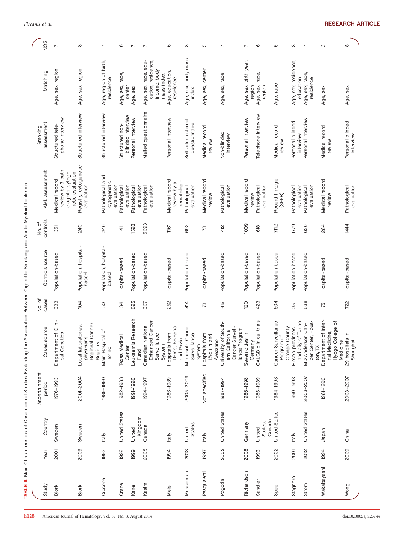| Year | Country                     | Ascertainment<br>period | Cases source                                                                          | No. of<br>cases | Controls source                | controls<br>No. of | AML assessment                                                               | assessment<br>Smoking                | Matching                                                                 | NOS                      |
|------|-----------------------------|-------------------------|---------------------------------------------------------------------------------------|-----------------|--------------------------------|--------------------|------------------------------------------------------------------------------|--------------------------------------|--------------------------------------------------------------------------|--------------------------|
| 2001 | Sweden                      | 1976-1993               | $Clin-$<br>cal Genetics<br>Department of                                              | 333             | Population-based               | 351                | review by 3 path-<br>ologists, cytoge-<br>netic evaluation<br>Medical record | phone interview<br>Structured tele   | Age, sex, region                                                         | $\overline{ }$           |
| 2009 | Sweden                      | 2001-2004               | Regional Cancer<br>Local laboratories,<br>physicians<br>Registry                      | $\overline{0}$  | Population, hospital-<br>based | <b>240</b>         | Registry, cytogenetic<br>evaluation                                          | Structured interview                 | Age, sex, region                                                         | ${}^{\circ}$             |
| 1993 | Italy                       | 1989-1990               | đ<br>Main Hospital<br>Torino                                                          | 50              | Population, hospital-<br>based | 246                | Pathological and<br>cytogenetic<br>evaluation                                | Structured interview                 | Age, region of birth,<br>residence                                       | $\overline{ }$           |
| 1992 | United States               | 1982-1983               | <b>Texas Medical</b><br>Center                                                        | 34              | Hospital-based                 | 4                  | evaluation<br>Pathological                                                   | blinded interview<br>Structured non- | Age, sex, race<br>center                                                 | $\circ$                  |
| 1999 | Kingdom<br>United           | 1991-1996               | Leukaemia Research<br>Fund                                                            | 695             | Population-based               | 1593               | evaluation<br>Pathological                                                   | Personal interview                   | Age, sex                                                                 | $\overline{ }$           |
| 2005 | Canada                      | 1994-1997               | Enhanced Cancer<br>Canadian National<br>Surveillance<br>System                        | 307             | Population-based               | 5093               | evaluation<br>Pathological                                                   | Mailed questionnaire                 | Age, sex, race, edu-<br>cation, residence,<br>income, body<br>mass index | $\overline{ }$           |
| 1994 | Italy                       | 1986-1989               | Rome, Bologna<br>Hospitals from<br>and Pavia                                          | 252             | Hospital-based                 | 1161               | hematologist<br>Medical record<br>review by a                                | Personal interview                   | Age, education,<br>residence                                             | 6                        |
| 2013 | <b>States</b><br>United     | 2005-2009               | Minnesota Cancer<br>Surveillance<br>System                                            | 414             | Population-based               | 692                | evaluation<br>Pathological                                                   | Self-administered<br>questionnaire   | Age, sex, body mass<br>index                                             | $\infty$                 |
| 1997 | Italy                       | Not specified           | Hospitals from<br>L'Aquila and<br>Avezzano                                            | 73              | Hospital-based                 | 73                 | Medical record<br>review                                                     | Medical record<br>review             | Age, sex, center                                                         | 5                        |
| 2002 | United States               | 1987-1994               | University of South-<br>Cancer Surveil-<br>lance Program<br>$\sigma$<br>ern Californi | 412             | Population-based               | 412                | evaluation<br>Pathological                                                   | Non-blinded<br>interview             | Age, sex, race                                                           | $\overline{ }$           |
| 2008 | Germany                     | 1986-1998               | Seven cities in<br>Germany                                                            | 120             | Population-based               | 1009               | Medical record<br>review                                                     | Personal interview                   | Age, sex, birth year,<br>region                                          | $\overline{ }$           |
| 1993 | Canada<br>States,<br>United | 1986-1989               | trials<br>CALGB clinical                                                              | 423             | Population-based               | 618                | evaluation<br>Pathological                                                   | Telephone interview                  | Age, sex, race<br>region                                                 | $\circ$                  |
| 2002 | United States               | 1984-1993               | Cancer Surveillance<br>Orange County<br>Program of                                    | 604             | Population-based               | 7112               | Record linkage<br>(SEER)                                                     | Medical record<br>review             | Age, race                                                                | 5                        |
| 2001 | Italy                       | 1990-1993               | and city of Torino<br>Eleven provinces                                                | 351             | Population-based               | 1779               | evaluation<br>Pathological                                                   | Personal blinded<br>interview        | Age, sex, residence,<br>education                                        | ${}^{\circ}$             |
| 2012 | United States               | 2003-2007               | Hous-<br>Can-<br>cer Center,<br><b>MD Anderson</b><br>ton, TX                         | 638             | Population-based               | 636                | evaluation<br>Pathological                                                   | Personal interview                   | Age, sex, race,<br>residence                                             | $\overline{\phantom{0}}$ |
| 1994 | Japan                       | 1981-1990               | Department of Inter-<br>Hyogo College of<br>nal Medicine,<br>Medicine                 | 75              | Hospital-based                 | 284                | Medical record<br>review                                                     | Medical record<br>review             | Age, sex                                                                 | S                        |
| 2009 | China                       | 2003-2007               | 29 hospitals in<br>Shanghai                                                           | 722             | Hospital-based                 | 1444               | evaluation<br>Pathological                                                   | Personal blinded<br>interview        | Age, sex                                                                 | $\infty$                 |

TABLE II. Main Characteristics of Case-control Studies Evaluating the Association Between Cigarette Smoking and Acute Myeloid Leukemia

TABLE II. Main Characteristics of Case-control Studies Evaluating the Association Between Cigarette Smoking and Acute Myeloid Leukemia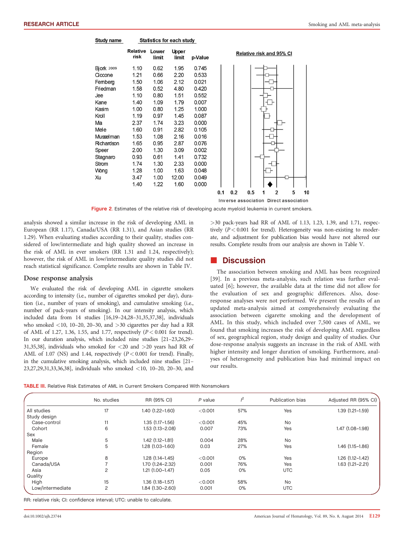#### Study name **Statistics for each study** Relative Lower Upper Relative risk and 95% CI risk limit limit p-Value 0.62 **Bjork 2009** 1.10 1.95  $0.745$ Ciccone  $1.21$ 0.66 2.20 0.533 Femberg 1.50 1.06  $2.12$  $0.021$ Friedman 1.58  $0.52$ 4.80 0.420 0.552 0.80 1.51 .lee 1.10 1.79 0.007 Kane  $140$ 1.09 Kasim 1.00 0.80 1.25 1.000 Kroll 1.19 0.97 1.45 0.087 Ma 2.37 1.74 3.23 0.000 Mele 1.60 0.91 2.82  $0.105$ Musselman 1.53 1.08 2.16 0.016 Richardson 1.65 0.95 287 0.076 Speer 2.00 1.30 3.09  $0.002$ Stagnaro 0.93 0.61 1.41 0.732 Strom 1.74 2.33 0.000 1.30 Wong 1.28 1.00 1.63 0.048 Xu 3.47 1.00 12.00  $0.049$ 0.000 1.40  $1.22$ 1.60  $0.1$  $0.2$  $0.5$ 1  $\overline{2}$ 5 10

Inverse association Direct association

Figure 2. Estimates of the relative risk of developing acute myeloid leukemia in current smokers.

analysis showed a similar increase in the risk of developing AML in European (RR 1.17), Canada/USA (RR 1.31), and Asian studies (RR 1.29). When evaluating studies according to their quality, studies considered of low/intermediate and high quality showed an increase in the risk of AML in ever smokers (RR 1.31 and 1.24, respectively); however, the risk of AML in low/intermediate quality studies did not reach statistical significance. Complete results are shown in Table IV.

#### Dose response analysis

We evaluated the risk of developing AML in cigarette smokers according to intensity (i.e., number of cigarettes smoked per day), duration (i.e., number of years of smoking), and cumulative smoking (i.e., number of pack-years of smoking). In our intensity analysis, which included data from 14 studies [16,19–24,28–31,35,37,38], individuals who smoked  $\langle 10, 10-20, 20-30,$  and  $>30$  cigarettes per day had a RR of AML of 1.27, 1.36, 1.55, and 1.77, respectively (P< 0.001 for trend). In our duration analysis, which included nine studies [21–23,26,29– 31,35,38], individuals who smoked for <20 and >20 years had RR of AML of 1.07 (NS) and 1.44, respectively  $(P < 0.001$  for trend). Finally, in the cumulative smoking analysis, which included nine studies [21– 23,27,29,31,33,36,38], individuals who smoked <10, 10–20, 20–30, and >30 pack-years had RR of AML of 1.13, 1.23, 1.39, and 1.71, respectively  $(P < 0.001$  for trend). Heterogeneity was non-existing to moderate, and adjustment for publication bias would have not altered our results. Complete results from our analysis are shown in Table V.

### **Discussion**

The association between smoking and AML has been recognized [39]. In a previous meta-analysis, such relation was further evaluated [6]; however, the available data at the time did not allow for the evaluation of sex and geographic differences. Also, doseresponse analyses were not performed. We present the results of an updated meta-analysis aimed at comprehensively evaluating the association between cigarette smoking and the development of AML. In this study, which included over 7,500 cases of AML, we found that smoking increases the risk of developing AML regardless of sex, geographical region, study design and quality of studies. Our dose-response analysis suggests an increase in the risk of AML with higher intensity and longer duration of smoking. Furthermore, analyses of heterogeneity and publication bias had minimal impact on our results.

|  |  |  |  |  |  |  |  |  |  |  | <b>TABLE III.</b> Relative Risk Estimates of AML in Current Smokers Compared With Nonsmokers |
|--|--|--|--|--|--|--|--|--|--|--|----------------------------------------------------------------------------------------------|
|--|--|--|--|--|--|--|--|--|--|--|----------------------------------------------------------------------------------------------|

|                  | No. studies    | RR (95% CI)            | $P$ value | i <sup>2</sup> | Publication bias | Adjusted RR (95% CI) |
|------------------|----------------|------------------------|-----------|----------------|------------------|----------------------|
| All studies      | 17             | $1.40(1.22 - 1.60)$    | < 0.001   | 57%            | Yes              | $1.39(1.21 - 1.59)$  |
| Study design     |                |                        |           |                |                  |                      |
| Case-control     | 11             | $1.35(1.17 - 1.56)$    | < 0.001   | 45%            | <b>No</b>        |                      |
| Cohort           | 6              | $1.53(1.13 - 2.08)$    | 0.007     | 73%            | Yes              | 1.47 (1.08-1.98)     |
| Sex              |                |                        |           |                |                  |                      |
| Male             | 5              | $1.42$ $(1.12 - 1.81)$ | 0.004     | 28%            | <b>No</b>        |                      |
| Female           | 5              | $1.28(1.03 - 1.60)$    | 0.03      | 27%            | Yes              | $1.46$ $(1.15-1.86)$ |
| Region           |                |                        |           |                |                  |                      |
| Europe           | 8              | $1.28(1.14 - 1.45)$    | < 0.001   | 0%             | Yes              | $1.26(1.12 - 1.42)$  |
| Canada/USA       |                | 1.70 (1.24-2.32)       | 0.001     | 76%            | Yes              | $1.63(1.21 - 2.21)$  |
| Asia             | 2              | $1.21(1.00-1.47)$      | 0.05      | 0%             | <b>UTC</b>       |                      |
| Quality          |                |                        |           |                |                  |                      |
| High             | 15             | $1.36(1.18 - 1.57)$    | < 0.001   | 58%            | <b>No</b>        |                      |
| Low/intermediate | $\overline{c}$ | 1.84 (1.30-2.60)       | 0.001     | 0%             | <b>UTC</b>       |                      |

RR: relative risk; CI: confidence interval; UTC: unable to calculate.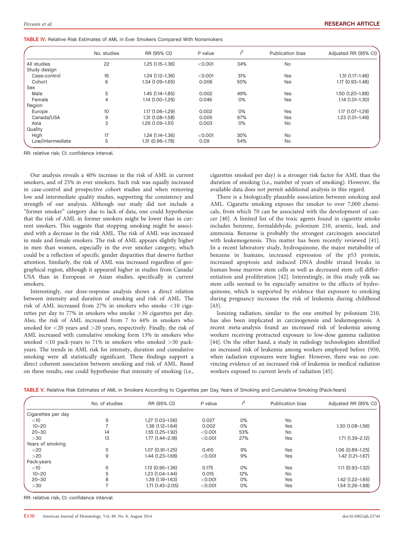| <b>TABLE IV.</b> Relative Risk Estimates of AML in Ever Smokers Compared With Nonsmokers |  |
|------------------------------------------------------------------------------------------|--|
|------------------------------------------------------------------------------------------|--|

|                  | No. studies    | RR (95% CI)         | P value | $l^2$ | Publication bias | Adjusted RR (95% CI) |
|------------------|----------------|---------------------|---------|-------|------------------|----------------------|
| All studies      | 22             | $1.25(1.15-1.36)$   | < 0.001 | 34%   | <b>No</b>        |                      |
| Study design     |                |                     |         |       |                  |                      |
| Case-control     | 16             | $1.24(1.12 - 1.36)$ | < 0.001 | 31%   | Yes              | $1.31(1.17 - 1.46)$  |
| Cohort           | 6              | $1.34(1.09-1.65)$   | 0.006   | 50%   | Yes              | $1.17(0.93 - 1.48)$  |
| Sex              |                |                     |         |       |                  |                      |
| Male             | 5              | $1.45(1.14 - 1.85)$ | 0.002   | 49%   | Yes              | $1.50(1.20 - 1.88)$  |
| Female           | $\overline{4}$ | $1.14(1.00-1.29)$   | 0.046   | $0\%$ | Yes              | $1.14(1.01-1.30)$    |
| Region           |                |                     |         |       |                  |                      |
| Europe           | 10             | $1.17(1.06 - 1.29)$ | 0.002   | 0%    | Yes              | $1.17(1.07 - 1.29)$  |
| Canada/USA       | 9              | $1.31(1.08 - 1.58)$ | 0.005   | 67%   | Yes              | $1.23(1.01-1.49)$    |
| Asia             | 3              | $1.29(1.09-1.51)$   | 0.003   | 0%    | <b>No</b>        |                      |
| Quality          |                |                     |         |       |                  |                      |
| High             | 17             | $1.24(1.14-1.36)$   | < 0.001 | 30%   | <b>No</b>        |                      |
| Low/intermediate | 5              | $1.31(0.96 - 1.78)$ | 0.09    | 54%   | <b>No</b>        |                      |

RR: relative risk; CI: confidence interval.

Our analysis reveals a 40% increase in the risk of AML in current smokers, and of 25% in ever smokers. Such risk was equally increased in case-control and prospective cohort studies and when removing low and intermediate quality studies, supporting the consistency and strength of our analysis. Although our study did not include a "former smoker" category due to lack of data, one could hypothesize that the risk of AML in former smokers might be lower than in current smokers. This suggests that stopping smoking might be associated with a decrease in the risk AML. The risk of AML was increased in male and female smokers. The risk of AML appears slightly higher in men than women, especially in the ever smoker category, which could be a reflection of specific gender disparities that deserve further attention. Similarly, the risk of AML was increased regardless of geographical region, although it appeared higher in studies from Canada/ USA than in European or Asian studies, specifically in current smokers.

Interestingly, our dose-response analysis shows a direct relation between intensity and duration of smoking and risk of AML. The risk of AML increased from 27% in smokers who smoke <10 cigarettes per day to 77% in smokers who smoke >30 cigarettes per day. Also, the risk of AML increased from 7 to 44% in smokers who smoked for <20 years and >20 years, respectively. Finally, the risk of AML increased with cumulative smoking form 13% in smokers who smoked <10 pack-years to 71% in smokers who smoked >30 packyears. The trends in AML risk for intensity, duration and cumulative smoking were all statistically significant. These findings support a direct coherent association between smoking and risk of AML. Based on these results, one could hypothesize that intensity of smoking (i.e., cigarettes smoked per day) is a stronger risk factor for AML than the duration of smoking (i.e., number of years of smoking). However, the available data does not permit additional analysis in this regard.

There is a biologically plausible association between smoking and AML. Cigarette smoking exposes the smoker to over 7,000 chemicals, from which 70 can be associated with the development of cancer [40]. A limited list of the toxic agents found in cigarette smoke includes benzene, formaldehyde, polonium 210, arsenic, lead, and ammonia. Benzene is probably the strongest carcinogen associated with leukemogenesis. This matter has been recently reviewed [41]. In a recent laboratory study, hydroquinone, the major metabolite of benzene in humans, increased expression of the p53 protein, increased apoptosis and induced DNA double strand breaks in human bone marrow stem cells as well as decreased stem cell differentiation and proliferation [42]. Interestingly, in this study yolk sac stem cells seemed to be especially sensitive to the effects of hydroquinone, which is supported by evidence that exposure to smoking during pregnancy increases the risk of leukemia during childhood [43].

Ionizing radiation, similar to the one emitted by polonium 210, has also been implicated in carcinogenesis and leukemogenesis. A recent meta-analysis found an increased risk of leukemia among workers receiving protracted exposure to low-dose gamma radiation [44]. On the other hand, a study in radiology technologists identified an increased risk of leukemia among workers employed before 1950, when radiation exposures were higher. However, there was no convincing evidence of an increased risk of leukemia in medical radiation workers exposed to current levels of radiation [45].

| <b>TABLE V.</b> Relative Risk Estimates of AML in Smokers According to Cigarettes per Day, Years of Smoking and Cumulative Smoking (Pack-Years) |  |
|-------------------------------------------------------------------------------------------------------------------------------------------------|--|
|-------------------------------------------------------------------------------------------------------------------------------------------------|--|

|                    | No. of studies | RR (95% CI)         | P value | ı2  | Publication bias | Adjusted RR (95% CI)   |
|--------------------|----------------|---------------------|---------|-----|------------------|------------------------|
| Cigarettes per day |                |                     |         |     |                  |                        |
| $<$ 10             | 9              | $1.27(1.03 - 1.56)$ | 0.027   | 0%  | <b>No</b>        |                        |
| $10 - 20$          |                | $1.36(1.12 - 1.64)$ | 0.002   | 0%  | Yes              | $1.30(1.08 - 1.56)$    |
| $20 - 30$          | 14             | 1.55 (1.25–1.92)    | < 0.001 | 53% | <b>No</b>        |                        |
| >30                | 13             | 1.77 (1.44-2.18)    | < 0.001 | 27% | Yes              | $1.71(1.39 - 2.12)$    |
| Years of smoking   |                |                     |         |     |                  |                        |
| $<$ 20             | 5              | $1.07(0.91 - 1.25)$ | 0.415   | 9%  | Yes              | $1.06(0.89 - 1.25)$    |
| >20                | 9              | $1.44(1.23 - 1.68)$ | < 0.001 | 9%  | Yes              | $1.42$ $(1.21 - 1.67)$ |
| Pack-years         |                |                     |         |     |                  |                        |
| $<$ 10             | 6              | $1.13(0.95 - 1.36)$ | 0.175   | 0%  | Yes              | $1.11(0.93 - 1.32)$    |
| $10 - 20$          | 5              | $1.23(1.04 - 1.44)$ | 0.015   | 12% | <b>No</b>        |                        |
| $20 - 30$          | 8              | 1.39 (1.19-1.63)    | < 0.001 | 0%  | Yes              | $1.42(1.22 - 1.65)$    |
| >30                |                | $1.71(1.43 - 2.05)$ | < 0.001 | 0%  | Yes              | 1.54 (1.26-1.88)       |

RR: relative risk; CI: confidence interval.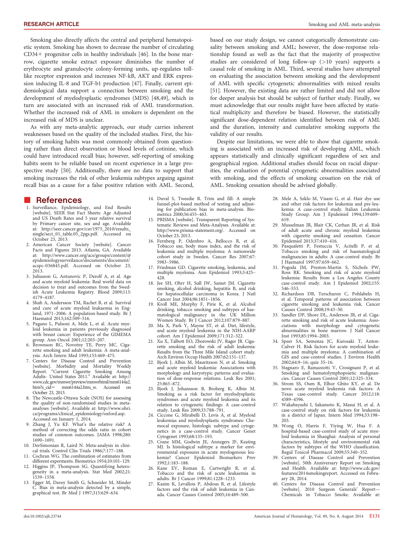Smoking also directly affects the central and peripheral hematopoietic system. Smoking has shown to decrease the number of circulating  $CD34+$  progenitor cells in healthy individuals [46]. In the bone marrow, cigarette smoke extract exposure diminishes the number of erythrocyte and granulocyte colony-forming units, up-regulates tolllike receptor expression and increases NF-kB, AKT and ERK expression inducing IL-8 and TGF-b1 production [47]. Finally, current epidemiological data support a connection between smoking and the development of myelodysplastic syndromes (MDS) [48,49], which in turn are associated with an increased risk of AML transformation. Whether the increased risk of AML in smokers is dependent on the increased risk of MDS is unclear.

As with any meta-analytic approach, our study carries inherent weaknesses based on the quality of the included studies. First, the history of smoking habits was most commonly obtained from questioning rather than direct observation or blood levels of cotinine, which could have introduced recall bias; however, self-reporting of smoking habits seem to be reliable based on recent experience in a large prospective study [50]. Additionally, there are no data to support that smoking increases the risk of other leukemia subtypes arguing against recall bias as a cause for a false positive relation with AML. Second,

### **References**

- 1. Surveillance, Epidemiology, and End Results [website]. SEER Stat Fact Sheets: Age Adjusted and US Death Rates and 5 year relative survival by Primary cancer site, sex and age. Available at: [http://seer.cancer.gov/csr/1975\\_2010/results\\_](http://seer.cancer.gov/csr/1975_2010/results_single/sect_01_table.05_2pgs.pdf) [single/sect\\_01\\_table.05\\_2pgs.pdf](http://seer.cancer.gov/csr/1975_2010/results_single/sect_01_table.05_2pgs.pdf). Accessed on October 23, 2013.
- 2. American Cancer Society [website]. Cancer Facts and Figures 2013. Atlanta, GA. Available at: [http://www.cancer.org/acs/groups/content/@](http://www.cancer.org/acs/groups/content//documents/document/acspc-036845.pdf) [epidemiologysurveilance/documents/document/](http://www.cancer.org/acs/groups/content//documents/document/acspc-036845.pdf) [acspc-036845.pdf.](http://www.cancer.org/acs/groups/content//documents/document/acspc-036845.pdf) Accessed on October 23, 2013.
- 3. Juliusson G, Antunovic P, Derolf A, et al. Age and acute myeloid leukemia: Real world data on decision to treat and outcomes from the Swedish Acute Leukemia Registry. Blood 2009;113: 4179–4187.
- 4. Shah A, Andersson TM, Rachet B, et al. Survival and cure of acute myeloid leukaemia in England, 1971–2006: A population-based study. Br J Haematol 2013;162:509–516.
- 5. Pagano L, Pulsoni A, Mele L, et al. Acute myeloid leukemia in patients previously diagnosed with breast cancer: Experience of the GIMEMA group. Ann Oncol 2001;12:203–207.
- 6. Brownson RC, Novotny TE, Perry MC. Ciga-rette smoking and adult leukemia: A meta-analysis. Arch Intern Med 1993;153:469–475.
- 7. Centers for Disease Control and Prevention [website]. Morbidity and Mortality Weekly Report. "Current Cigarette Smoking Among Adults- United States 2011." Available at: [http://](http://www.cdc.gov/mmwr/preview/mmwrhtml/mm6144a2.htm?s_cid=) [www.cdc.gov/mmwr/preview/mmwrhtml/mm6144a2.](http://www.cdc.gov/mmwr/preview/mmwrhtml/mm6144a2.htm?s_cid=) [htm?s\\_cid](http://www.cdc.gov/mmwr/preview/mmwrhtml/mm6144a2.htm?s_cid=)5 mm6144a2.htm\_w. Accessed on October 23, 2013.
- The Newcastle-Ottawa Scale (NOS) for assessing the quality of non-randomised studies in metaanalyses [website]. Available at: [http://www.ohri.](http://www.ohri.ca/programs/clinical_epidemiology/oxford.asp) [ca/programs/clinical\\_epidemiology/oxford.asp.](http://www.ohri.ca/programs/clinical_epidemiology/oxford.asp) Accessed on January 1, 2014.
- 9. Zhang J, Yu KF. What's the relative risk? A method of correcting the odds ratio in cohort studies of common outcomes. JAMA 1998;280: 1690–1691.
- 10. DerSimonian R, Laird N. Meta-analysis in clinical trials. Control Clin Trials 1986;7:177–188.
- 11. Cochran WG. The combination of estimates from different experments. Biometrics 1954;10:101–129. 12. Higgins JP, Thompson SG. Quantifying hetero-
- geneity in a meta-analysis. Stat Med 2002;21: 1539–1558.
- 13. Egger M, Davey Smith G, Schneider M, Minder C. Bias in meta-analysis detected by a simple, graphical test. Br Med J 1997;315:629–634.

based on our study design, we cannot categorically demonstrate causality between smoking and AML; however, the dose-response relationship found as well as the fact that the majority of prospective studies are considered of long follow-up (>10 years) supports a causal role of smoking in AML. Third, several studies have attempted on evaluating the association between smoking and the development of AML with specific cytogenetic abnormalities with mixed results [51]. However, the existing data are rather limited and did not allow for deeper analysis but should be subject of further study. Finally, we must acknowledge that our results might have been affected by statistical multiplicity and therefore be biased. However, the statistically significant dose-dependent relation identified between risk of AML and the duration, intensity and cumulative smoking supports the validity of our results.

Despite our limitations, we were able to show that cigarette smoking is associated with an increased risk of developing AML, which appears statistically and clinically significant regardless of sex and geographical region. Additional studies should focus on racial disparities, the evaluation of potential cytogenetic abnormalities associated with smoking, and the effects of smoking cessation on the risk of AML. Smoking cessation should be advised globally.

- 14. Duval S, Tweedie R. Trim and fill: A simple funnel-plot-based method of testing and adjusting for publication bias in meta-analysis. Bio-metrics 2000;56:455–463.
- 15. PRISMA [website]. Transparent Reporting of Systematic Reviews and Meta-Analyses. Available at: <http://www.prisma-statement.org/>. Accessed on October 23, 2013.
- 16. Fernberg P, Odenbro A, Bellocco R, et al. Tobacco use, body mass index, and the risk of leukemia and multiple myeloma: A nationwide cohort study in Sweden. Cancer Res 2007;67: 5983–5986.
- 17. Friedman GD. Cigarette smoking, leukemia, and multiple myeloma. Ann Epidemiol 1993;3:425– 428.
- 18. Jee SH, Ohrr H, Sull JW, Samet JM. Cigarette smoking, alcohol drinking, hepatitis B, and risk for hepatocellular carcinoma in Korea. J Natl Cancer Inst 2004;96:1851–1856.
- Kroll ME, Murphy F, Pirie K, et al. Alcohol drinking, tobacco smoking and subtypes of haematological malignancy in the UK Million
- Women Study. Br J Cancer 2012;107:879–887. 20. Ma X, Park Y, Mayne ST, et al. Diet, lifestyle, and acute myeloid leukemia in the NIH-AARP cohort. Am J Epidemiol 2009;171:312–322.
- 21. Xu X, Talbott EO, Zborowski JV, Rager JR. Cigarette smoking and the risk of adult leukemia: Results from the Three Mile Island cohort study.
- Arch Environ Occup Health 2007;62:131–137. 22. Bjork J, Albin M, Mauritzson N, et al. Smoking and acute myeloid leukemia: Associations with morphology and karyotypic patterns and evaluation of dose-response relations. Leuk Res 2001; 25:865–872.
- 23. Bjork J, Johansson B, Broberg K, Albin M. Smoking as a risk factor for myelodysplastic syndromes and acute myeloid leukemia and its relation to cytogenetic findings: A case-control study. Leuk Res 2009;33:788–791.
- 24. Ciccone G, Mirabelli D, Levis A, et al. Myeloid leukemias and myelodysplastic syndromes: Chemocal exposure, histologic subtype and cytogenetics in a case-control study. Cancer Genet Cytogenet 1993;68:135–193.
- 25. Crane MM, Godwin JE, Annegers JF, Keating MJ. Is histological subtype a marker for environmental exposures in acute myelogenous leukemia? Cancer Epidemiol Biomarkers Prev 1992;1:183–188.
- 26. Kane EV, Roman E, Cartwright R, et al. Tobacco and the risk of acute leukaemia in adults. Br J Cancer 1999;81:1228–1233.
- 27. Kasim K, Levallois P, Abdous B, et al. Lifestyle factors and the risk of adult leukemia in Canada. Cancer Causes Control 2005;16:489–500.
- 28. Mele A, Szklo M, Visani G, et al. Hair dye use and other risk factors for leukemia and pre-leukemia: A case-control study. Italian Leukemia Study Group. Am J Epidemiol 1994;139:609– 619.
- 29. Musselman JR, Blair CK, Cerhan JR, et al. Risk of adult acute and chronic myeloid leukemia with cigarette smoking and cessation. Cancer Epidemiol 2013;37:410–416.
- 30. Pasqualetti P, Festuccia V, Acitelli P, et al. Tobacco smoking and risk of haematological malignancies in adults: A case-control study. Br J Haematol 1997;97:659–662.
- 31. Pogoda JM, Preston-Martin S, Nichols PW, Ross RK. Smoking and risk of acute myeloid leukemia: Results from a Los Angeles County case-control study. Am J Epidemiol 2002;155: 546–553.
- 32. Richardson DB, Terschuren C, Pohlabeln H, et al. Temporal patterns of association between cigarette smoking and leukemia risk. Cancer Causes Control 2008;19:43–50.
- 33. Sandler DP, Shore DL, Anderson JR, et al. Cigarette smoking and risk of acute leukemia: Associations with morphology and cytogenetic abnormalities in bone marrow. J Natl Cancer Inst 1993;85:1994–2003.
- 34. Speer SA, Semenza JC, Kurosaki T, Anton-Culver H. Risk factors for acute myeloid leukemia and multiple myeloma: A combination of GIS and case-control studies. J Environ Health 2002;64:9–16; quiz 35–16.
- 35. Stagnaro E, Ramazzotti V, Crosignani P, et al. Smoking and hematolymphopoietic malignancies. Cancer Causes Control 2001;12:325–334.
- 36. Strom SS, Oum R, Elhor Gbito KY, et al. De novo acute myeloid leukemia risk factors: A Texas case-control study. Cancer 2012;118: 4589–4596.
- 37. Wakabayashi I, Sakamoto K, Masui H, et al. A case-control study on risk factors for leukemia in a district of Japan. Intern Med 1994;33:198– 203.
- 38. Wong O, Harris F, Yiying W, Hua F. A hospital-based case-control study of acute myeloid leukemia in Shanghai: Analysis of personal characteristics, lifestyle and environmental risk factors by subtypes of the WHO classification. Regul Toxicol Pharmacol 2009;55:340–352.
- 39. Centers of Disease Control and Prevention [website]. 50th Anniversary Report on Smoking and Health. Available at: [http://www.cdc.gov/](http://www.cdc.gov/features/2014smokingreport) [features/2014smokingreport](http://www.cdc.gov/features/2014smokingreport). Accessed on February 28, 2014.
- 40. Centers for Disease Control and Prevention [website]. 2010 Surgeon Generals' Report— Chemicals in Tobacco Smoke. Available at: